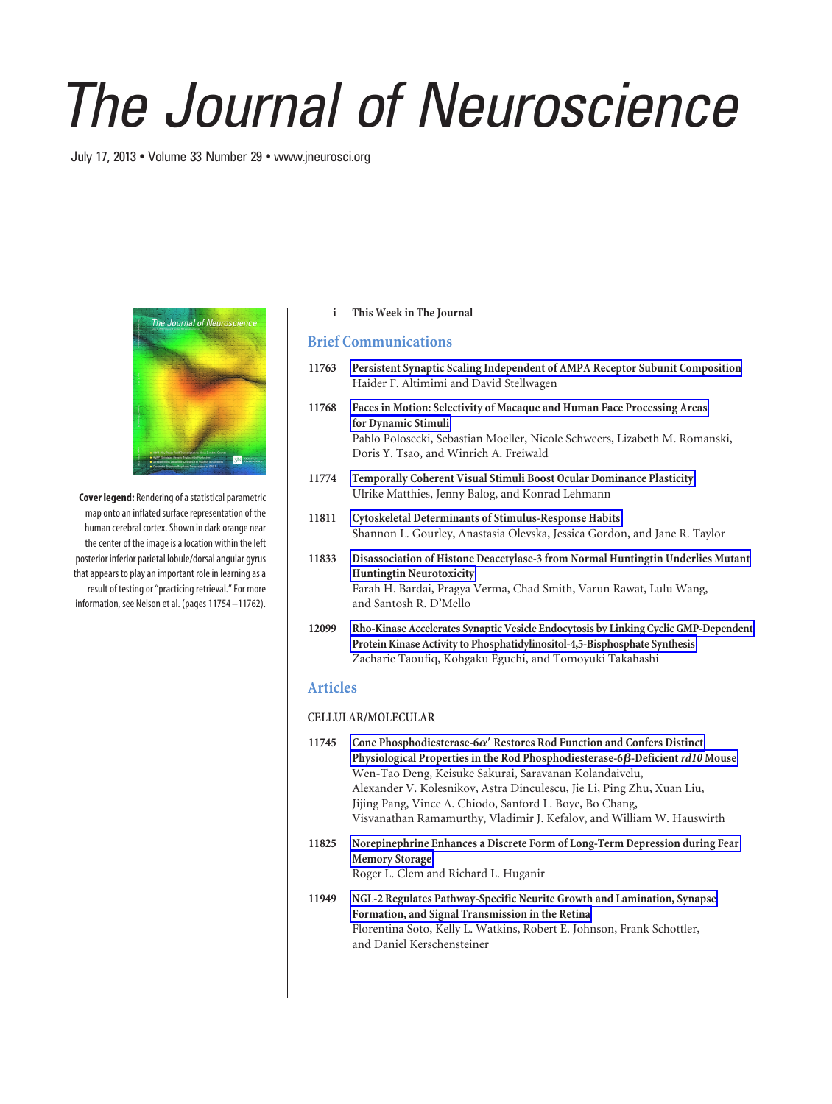# *The Journal of Neuroscience*

July 17, 2013 • Volume 33 Number 29 • www.jneurosci.org



**Cover legend:** Rendering of a statistical parametric map onto an inflated surface representation of the human cerebral cortex. Shown in dark orange near the center of the image is a location within the left posterior inferior parietal lobule/dorsal angular gyrus that appears to play an important role in learning as a result of testing or "practicing retrieval." For more information, see Nelson et al. (pages 11754 –11762).

### **i This Week in The Journal**

# **Brief Communications**

- **11763 Persistent Synaptic Scaling Independent of AMPA Receptor Subunit Composition** Haider F. Altimimi and David Stellwagen
- **11768 Faces in Motion: Selectivity of Macaque and Human Face Processing Areas for Dynamic Stimuli** Pablo Polosecki, Sebastian Moeller, Nicole Schweers, Lizabeth M. Romanski, Doris Y. Tsao, and Winrich A. Freiwald
- **11774 Temporally Coherent Visual Stimuli Boost Ocular Dominance Plasticity** Ulrike Matthies, Jenny Balog, and Konrad Lehmann
- **11811 Cytoskeletal Determinants of Stimulus-Response Habits** Shannon L. Gourley, Anastasia Olevska, Jessica Gordon, and Jane R. Taylor
- **11833 Disassociation of Histone Deacetylase-3 from Normal Huntingtin Underlies Mutant Huntingtin Neurotoxicity** Farah H. Bardai, Pragya Verma, Chad Smith, Varun Rawat, Lulu Wang, and Santosh R. D'Mello
- **12099 Rho-Kinase Accelerates Synaptic Vesicle Endocytosis by Linking Cyclic GMP-Dependent Protein Kinase Activity to Phosphatidylinositol-4,5-Bisphosphate Synthesis** Zacharie Taoufiq, Kohgaku Eguchi, and Tomoyuki Takahashi

# **Articles**

### **CELLULAR/MOLECULAR**

- 11745 Cone Phosphodiesterase-6 $\alpha'$  Restores Rod Function and Confers Distinct Physiological Properties in the Rod Phosphodiesterase-6 $\beta$ -Deficient *rd10* Mouse Wen-Tao Deng, Keisuke Sakurai, Saravanan Kolandaivelu, Alexander V. Kolesnikov, Astra Dinculescu, Jie Li, Ping Zhu, Xuan Liu, Jijing Pang, Vince A. Chiodo, Sanford L. Boye, Bo Chang, Visvanathan Ramamurthy, Vladimir J. Kefalov, and William W. Hauswirth
- **11825 Norepinephrine Enhances a Discrete Form of Long-Term Depression during Fear Memory Storage** Roger L. Clem and Richard L. Huganir
- **11949 NGL-2 Regulates Pathway-Specific Neurite Growth and Lamination, Synapse Formation, and Signal Transmission in the Retina** Florentina Soto, Kelly L. Watkins, Robert E. Johnson, Frank Schottler, and Daniel Kerschensteiner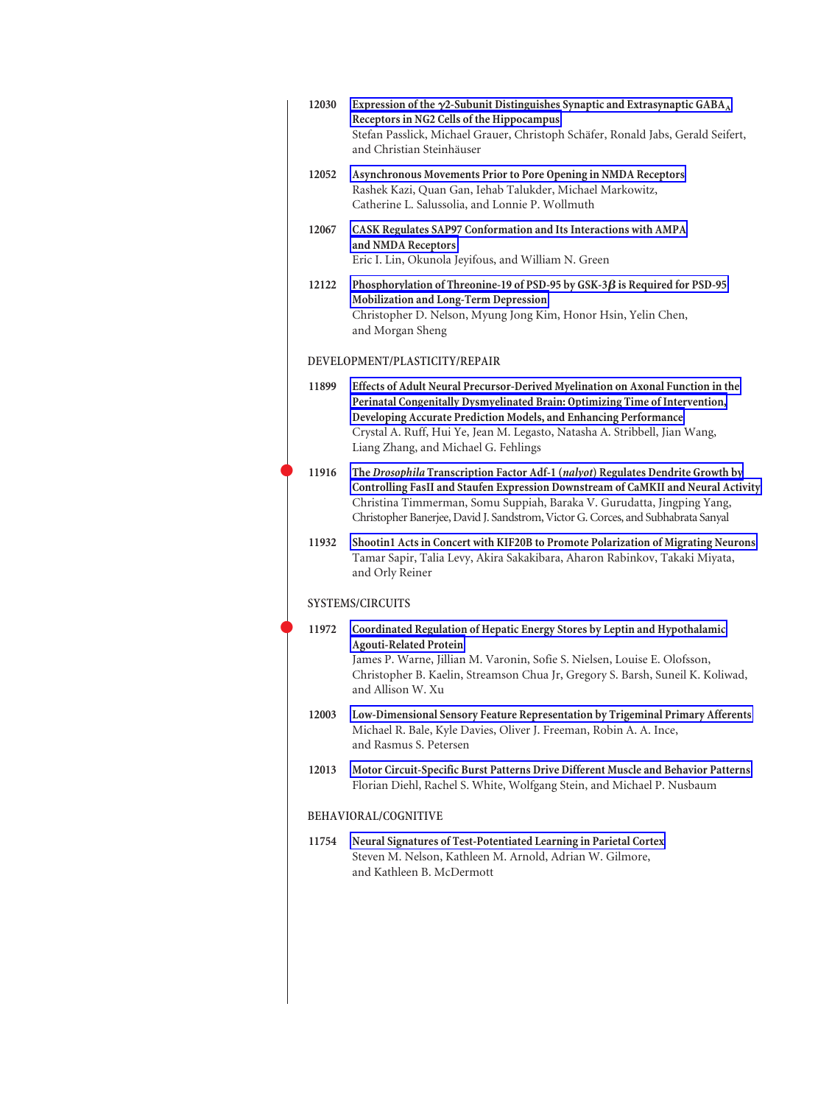| 12030 | Expression of the $\gamma$ 2-Subunit Distinguishes Synaptic and Extrasynaptic GABA <sub>A</sub><br>Receptors in NG2 Cells of the Hippocampus<br>Stefan Passlick, Michael Grauer, Christoph Schäfer, Ronald Jabs, Gerald Seifert,<br>and Christian Steinhäuser                                                                                             |
|-------|-----------------------------------------------------------------------------------------------------------------------------------------------------------------------------------------------------------------------------------------------------------------------------------------------------------------------------------------------------------|
| 12052 | Asynchronous Movements Prior to Pore Opening in NMDA Receptors<br>Rashek Kazi, Quan Gan, Iehab Talukder, Michael Markowitz,<br>Catherine L. Salussolia, and Lonnie P. Wollmuth                                                                                                                                                                            |
| 12067 | CASK Regulates SAP97 Conformation and Its Interactions with AMPA<br>and NMDA Receptors<br>Eric I. Lin, Okunola Jeyifous, and William N. Green                                                                                                                                                                                                             |
| 12122 | Phosphorylation of Threonine-19 of PSD-95 by GSK-3 $\beta$ is Required for PSD-95<br>Mobilization and Long-Term Depression<br>Christopher D. Nelson, Myung Jong Kim, Honor Hsin, Yelin Chen,<br>and Morgan Sheng                                                                                                                                          |
|       | DEVELOPMENT/PLASTICITY/REPAIR                                                                                                                                                                                                                                                                                                                             |
| 11899 | Effects of Adult Neural Precursor-Derived Myelination on Axonal Function in the<br>Perinatal Congenitally Dysmyelinated Brain: Optimizing Time of Intervention,<br>Developing Accurate Prediction Models, and Enhancing Performance<br>Crystal A. Ruff, Hui Ye, Jean M. Legasto, Natasha A. Stribbell, Jian Wang,<br>Liang Zhang, and Michael G. Fehlings |
| 11916 | The Drosophila Transcription Factor Adf-1 (nalyot) Regulates Dendrite Growth by<br>Controlling FasII and Staufen Expression Downstream of CaMKII and Neural Activity<br>Christina Timmerman, Somu Suppiah, Baraka V. Gurudatta, Jingping Yang,<br>Christopher Banerjee, David J. Sandstrom, Victor G. Corces, and Subhabrata Sanyal                       |
| 11932 | Shootin1 Acts in Concert with KIF20B to Promote Polarization of Migrating Neurons<br>Tamar Sapir, Talia Levy, Akira Sakakibara, Aharon Rabinkov, Takaki Miyata,<br>and Orly Reiner                                                                                                                                                                        |
|       | <b>SYSTEMS/CIRCUITS</b>                                                                                                                                                                                                                                                                                                                                   |
| 11972 | Coordinated Regulation of Hepatic Energy Stores by Leptin and Hypothalamic<br><b>Agouti-Related Protein</b><br>James P. Warne, Jillian M. Varonin, Sofie S. Nielsen, Louise E. Olofsson,<br>Christopher B. Kaelin, Streamson Chua Jr, Gregory S. Barsh, Suneil K. Koliwad,<br>and Allison W. Xu                                                           |
| 12003 | Low-Dimensional Sensory Feature Representation by Trigeminal Primary Afferents<br>Michael R. Bale, Kyle Davies, Oliver J. Freeman, Robin A. A. Ince,<br>and Rasmus S. Petersen                                                                                                                                                                            |
| 12013 | Motor Circuit-Specific Burst Patterns Drive Different Muscle and Behavior Patterns<br>Florian Diehl, Rachel S. White, Wolfgang Stein, and Michael P. Nusbaum                                                                                                                                                                                              |
|       | BEHAVIORAL/COGNITIVE                                                                                                                                                                                                                                                                                                                                      |
| 11754 | Neural Signatures of Test-Potentiated Learning in Parietal Cortex<br>Steven M. Nelson, Kathleen M. Arnold, Adrian W. Gilmore,<br>and Kathleen B. McDermott                                                                                                                                                                                                |
|       |                                                                                                                                                                                                                                                                                                                                                           |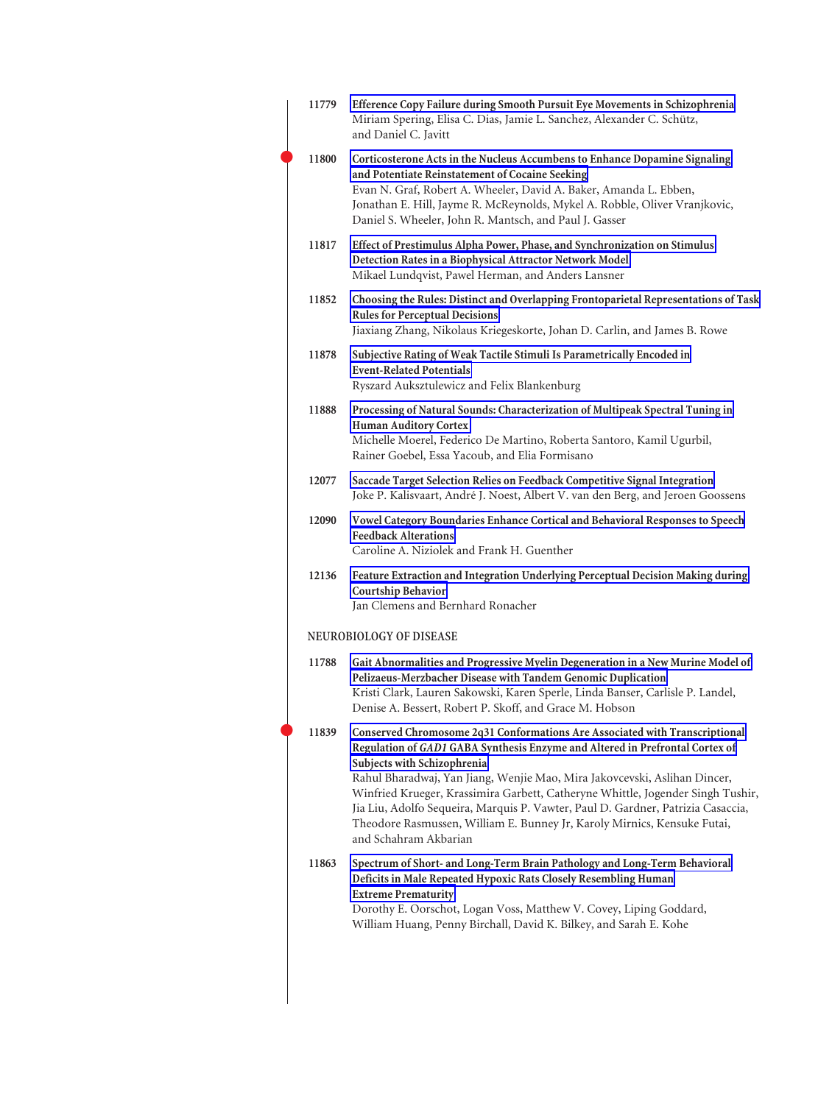| 11779 | Efference Copy Failure during Smooth Pursuit Eye Movements in Schizophrenia<br>Miriam Spering, Elisa C. Dias, Jamie L. Sanchez, Alexander C. Schütz,<br>and Daniel C. Javitt                                                                                                                                                                                                                                                                                                                                                                        |
|-------|-----------------------------------------------------------------------------------------------------------------------------------------------------------------------------------------------------------------------------------------------------------------------------------------------------------------------------------------------------------------------------------------------------------------------------------------------------------------------------------------------------------------------------------------------------|
| 11800 | Corticosterone Acts in the Nucleus Accumbens to Enhance Dopamine Signaling<br>and Potentiate Reinstatement of Cocaine Seeking<br>Evan N. Graf, Robert A. Wheeler, David A. Baker, Amanda L. Ebben,<br>Jonathan E. Hill, Jayme R. McReynolds, Mykel A. Robble, Oliver Vranjkovic,<br>Daniel S. Wheeler, John R. Mantsch, and Paul J. Gasser                                                                                                                                                                                                          |
| 11817 | Effect of Prestimulus Alpha Power, Phase, and Synchronization on Stimulus<br>Detection Rates in a Biophysical Attractor Network Model<br>Mikael Lundqvist, Pawel Herman, and Anders Lansner                                                                                                                                                                                                                                                                                                                                                         |
| 11852 | Choosing the Rules: Distinct and Overlapping Frontoparietal Representations of Task<br><b>Rules for Perceptual Decisions</b><br>Jiaxiang Zhang, Nikolaus Kriegeskorte, Johan D. Carlin, and James B. Rowe                                                                                                                                                                                                                                                                                                                                           |
| 11878 | Subjective Rating of Weak Tactile Stimuli Is Parametrically Encoded in<br><b>Event-Related Potentials</b><br>Ryszard Auksztulewicz and Felix Blankenburg                                                                                                                                                                                                                                                                                                                                                                                            |
| 11888 | Processing of Natural Sounds: Characterization of Multipeak Spectral Tuning in<br><b>Human Auditory Cortex</b><br>Michelle Moerel, Federico De Martino, Roberta Santoro, Kamil Ugurbil,<br>Rainer Goebel, Essa Yacoub, and Elia Formisano                                                                                                                                                                                                                                                                                                           |
| 12077 | Saccade Target Selection Relies on Feedback Competitive Signal Integration<br>Joke P. Kalisvaart, André J. Noest, Albert V. van den Berg, and Jeroen Goossens                                                                                                                                                                                                                                                                                                                                                                                       |
| 12090 | Vowel Category Boundaries Enhance Cortical and Behavioral Responses to Speech<br><b>Feedback Alterations</b><br>Caroline A. Niziolek and Frank H. Guenther                                                                                                                                                                                                                                                                                                                                                                                          |
| 12136 | Feature Extraction and Integration Underlying Perceptual Decision Making during<br><b>Courtship Behavior</b><br>Jan Clemens and Bernhard Ronacher                                                                                                                                                                                                                                                                                                                                                                                                   |
|       | NEUROBIOLOGY OF DISEASE                                                                                                                                                                                                                                                                                                                                                                                                                                                                                                                             |
| 11788 | Gait Abnormalities and Progressive Myelin Degeneration in a New Murine Model of<br>Pelizaeus-Merzbacher Disease with Tandem Genomic Duplication<br>Kristi Clark, Lauren Sakowski, Karen Sperle, Linda Banser, Carlisle P. Landel,<br>Denise A. Bessert, Robert P. Skoff, and Grace M. Hobson                                                                                                                                                                                                                                                        |
| 11839 | Conserved Chromosome 2q31 Conformations Are Associated with Transcriptional<br>Regulation of GAD1 GABA Synthesis Enzyme and Altered in Prefrontal Cortex of<br>Subjects with Schizophrenia<br>Rahul Bharadwaj, Yan Jiang, Wenjie Mao, Mira Jakovcevski, Aslihan Dincer,<br>Winfried Krueger, Krassimira Garbett, Catheryne Whittle, Jogender Singh Tushir,<br>Jia Liu, Adolfo Sequeira, Marquis P. Vawter, Paul D. Gardner, Patrizia Casaccia,<br>Theodore Rasmussen, William E. Bunney Jr, Karoly Mirnics, Kensuke Futai,<br>and Schahram Akbarian |
| 11863 | Spectrum of Short- and Long-Term Brain Pathology and Long-Term Behavioral<br>Deficits in Male Repeated Hypoxic Rats Closely Resembling Human<br><b>Extreme Prematurity</b><br>Dorothy E. Oorschot, Logan Voss, Matthew V. Covey, Liping Goddard,<br>William Huang, Penny Birchall, David K. Bilkey, and Sarah E. Kohe                                                                                                                                                                                                                               |
|       |                                                                                                                                                                                                                                                                                                                                                                                                                                                                                                                                                     |